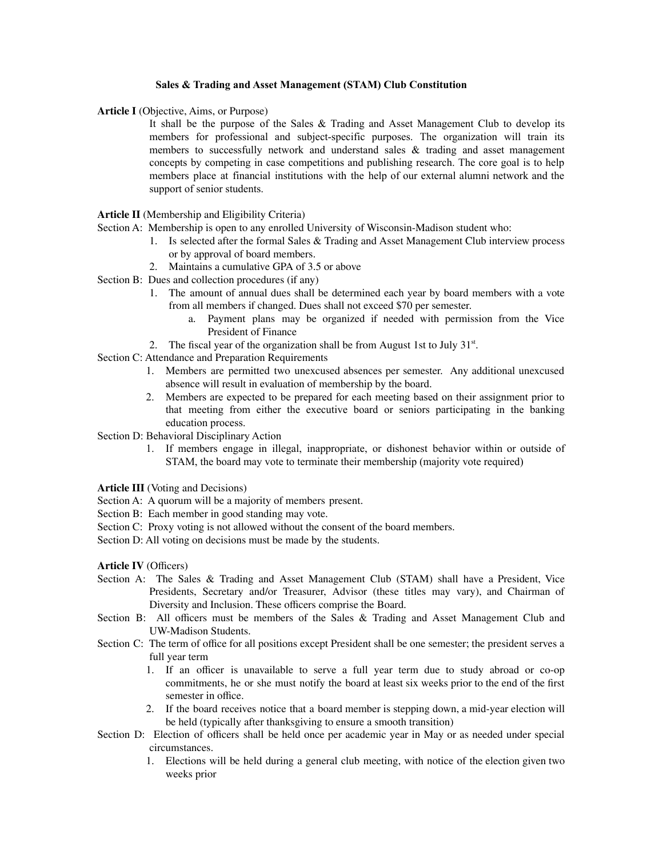## **Sales & Trading and Asset Management (STAM) Club Constitution**

**Article I** (Objective, Aims, or Purpose)

It shall be the purpose of the Sales & Trading and Asset Management Club to develop its members for professional and subject-specific purposes. The organization will train its members to successfully network and understand sales  $\&$  trading and asset management concepts by competing in case competitions and publishing research. The core goal is to help members place at financial institutions with the help of our external alumni network and the support of senior students.

**Article II** (Membership and Eligibility Criteria)

- Section A: Membership is open to any enrolled University of Wisconsin-Madison student who:
	- 1. Is selected after the formal Sales & Trading and Asset Management Club interview process or by approval of board members.
	- 2. Maintains a cumulative GPA of 3.5 or above
- Section B: Dues and collection procedures (if any)
	- 1. The amount of annual dues shall be determined each year by board members with a vote from all members if changed. Dues shall not exceed \$70 per semester.
		- a. Payment plans may be organized if needed with permission from the Vice President of Finance
	- 2. The fiscal year of the organization shall be from August 1st to July  $31<sup>st</sup>$ .
- Section C: Attendance and Preparation Requirements
	- 1. Members are permitted two unexcused absences per semester. Any additional unexcused absence will result in evaluation of membership by the board.
	- 2. Members are expected to be prepared for each meeting based on their assignment prior to that meeting from either the executive board or seniors participating in the banking education process.
- Section D: Behavioral Disciplinary Action
	- 1. If members engage in illegal, inappropriate, or dishonest behavior within or outside of STAM, the board may vote to terminate their membership (majority vote required)
- **Article III** (Voting and Decisions)
- Section A: A quorum will be a majority of members present.
- Section B: Each member in good standing may vote.
- Section C: Proxy voting is not allowed without the consent of the board members.
- Section D: All voting on decisions must be made by the students.

**Article IV** (Officers)

- Section A: The Sales & Trading and Asset Management Club (STAM) shall have a President, Vice Presidents, Secretary and/or Treasurer, Advisor (these titles may vary), and Chairman of Diversity and Inclusion. These officers comprise the Board.
- Section B: All officers must be members of the Sales & Trading and Asset Management Club and UW-Madison Students.
- Section C: The term of office for all positions except President shall be one semester; the president serves a full year term
	- 1. If an officer is unavailable to serve a full year term due to study abroad or co-op commitments, he or she must notify the board at least six weeks prior to the end of the first semester in office.
	- 2. If the board receives notice that a board member is stepping down, a mid-year election will be held (typically after thanksgiving to ensure a smooth transition)
- Section D: Election of officers shall be held once per academic year in May or as needed under special circumstances.
	- 1. Elections will be held during a general club meeting, with notice of the election given two weeks prior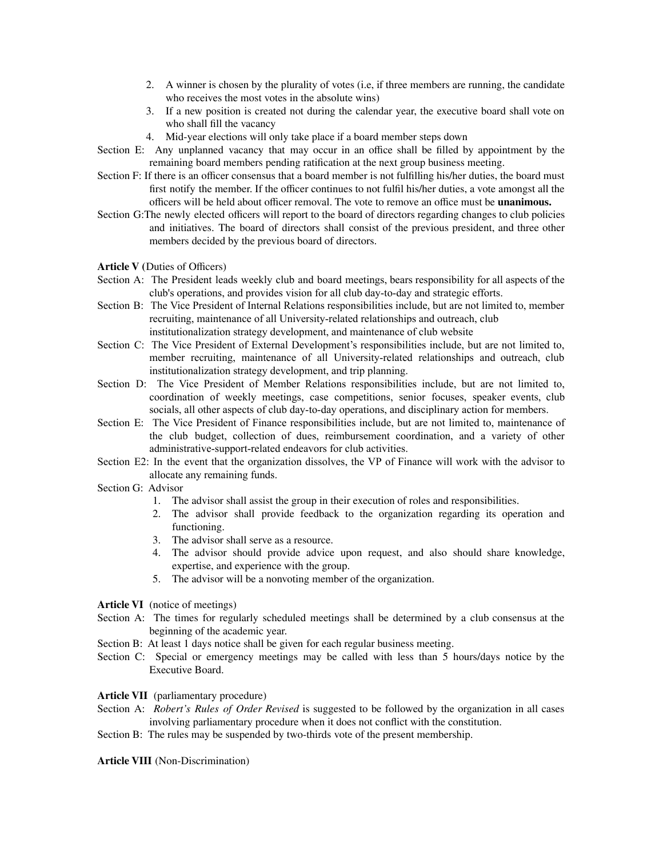- 2. A winner is chosen by the plurality of votes (i.e, if three members are running, the candidate who receives the most votes in the absolute wins)
- 3. If a new position is created not during the calendar year, the executive board shall vote on who shall fill the vacancy
- 4. Mid-year elections will only take place if a board member steps down
- Section E: Any unplanned vacancy that may occur in an office shall be filled by appointment by the remaining board members pending ratification at the next group business meeting.
- Section F: If there is an officer consensus that a board member is not fulfilling his/her duties, the board must first notify the member. If the officer continues to not fulfil his/her duties, a vote amongst all the officers will be held about officer removal. The vote to remove an office must be **unanimous.**
- Section G:The newly elected officers will report to the board of directors regarding changes to club policies and initiatives. The board of directors shall consist of the previous president, and three other members decided by the previous board of directors.
- **Article V (**Duties of Officers)
- Section A: The President leads weekly club and board meetings, bears responsibility for all aspects of the club's operations, and provides vision for all club day-to-day and strategic efforts.
- Section B: The Vice President of Internal Relations responsibilities include, but are not limited to, member recruiting, maintenance of all University-related relationships and outreach, club institutionalization strategy development, and maintenance of club website
- Section C: The Vice President of External Development's responsibilities include, but are not limited to, member recruiting, maintenance of all University-related relationships and outreach, club institutionalization strategy development, and trip planning.
- Section D: The Vice President of Member Relations responsibilities include, but are not limited to, coordination of weekly meetings, case competitions, senior focuses, speaker events, club socials, all other aspects of club day-to-day operations, and disciplinary action for members.
- Section E: The Vice President of Finance responsibilities include, but are not limited to, maintenance of the club budget, collection of dues, reimbursement coordination, and a variety of other administrative-support-related endeavors for club activities.
- Section E2: In the event that the organization dissolves, the VP of Finance will work with the advisor to allocate any remaining funds.
- Section G: Advisor
	- 1. The advisor shall assist the group in their execution of roles and responsibilities.
	- 2. The advisor shall provide feedback to the organization regarding its operation and functioning.
	- 3. The advisor shall serve as a resource.
	- 4. The advisor should provide advice upon request, and also should share knowledge, expertise, and experience with the group.
	- 5. The advisor will be a nonvoting member of the organization.

## **Article VI** (notice of meetings)

- Section A: The times for regularly scheduled meetings shall be determined by a club consensus at the beginning of the academic year.
- Section B: At least 1 days notice shall be given for each regular business meeting.
- Section C: Special or emergency meetings may be called with less than 5 hours/days notice by the Executive Board.

## **Article VII** (parliamentary procedure)

- Section A: *Robert's Rules of Order Revised* is suggested to be followed by the organization in all cases involving parliamentary procedure when it does not conflict with the constitution.
- Section B: The rules may be suspended by two-thirds vote of the present membership.

**Article VIII** (Non-Discrimination)